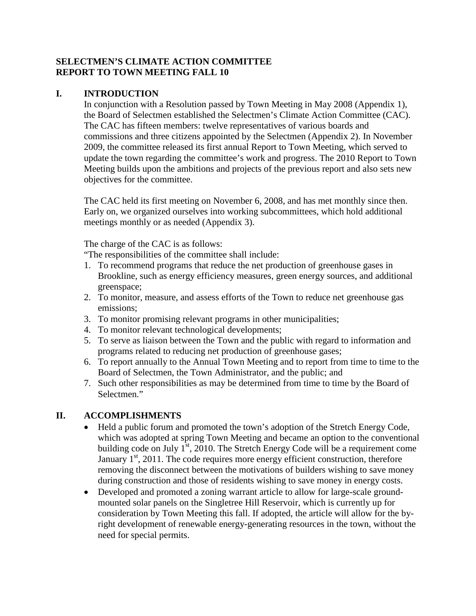### **SELECTMEN'S CLIMATE ACTION COMMITTEE REPORT TO TOWN MEETING FALL 10**

### **I. INTRODUCTION**

In conjunction with a Resolution passed by Town Meeting in May 2008 (Appendix 1), the Board of Selectmen established the Selectmen's Climate Action Committee (CAC). The CAC has fifteen members: twelve representatives of various boards and commissions and three citizens appointed by the Selectmen (Appendix 2). In November 2009, the committee released its first annual Report to Town Meeting, which served to update the town regarding the committee's work and progress. The 2010 Report to Town Meeting builds upon the ambitions and projects of the previous report and also sets new objectives for the committee.

The CAC held its first meeting on November 6, 2008, and has met monthly since then. Early on, we organized ourselves into working subcommittees, which hold additional meetings monthly or as needed (Appendix 3).

The charge of the CAC is as follows:

"The responsibilities of the committee shall include:

- 1. To recommend programs that reduce the net production of greenhouse gases in Brookline, such as energy efficiency measures, green energy sources, and additional greenspace;
- 2. To monitor, measure, and assess efforts of the Town to reduce net greenhouse gas emissions;
- 3. To monitor promising relevant programs in other municipalities;
- 4. To monitor relevant technological developments;
- 5. To serve as liaison between the Town and the public with regard to information and programs related to reducing net production of greenhouse gases;
- 6. To report annually to the Annual Town Meeting and to report from time to time to the Board of Selectmen, the Town Administrator, and the public; and
- 7. Such other responsibilities as may be determined from time to time by the Board of Selectmen."

## **II. ACCOMPLISHMENTS**

- Held a public forum and promoted the town's adoption of the Stretch Energy Code, which was adopted at spring Town Meeting and became an option to the conventional building code on July  $1<sup>st</sup>$ , 2010. The Stretch Energy Code will be a requirement come January  $1<sup>st</sup>$ , 2011. The code requires more energy efficient construction, therefore removing the disconnect between the motivations of builders wishing to save money during construction and those of residents wishing to save money in energy costs.
- Developed and promoted a zoning warrant article to allow for large-scale groundmounted solar panels on the Singletree Hill Reservoir, which is currently up for consideration by Town Meeting this fall. If adopted, the article will allow for the byright development of renewable energy-generating resources in the town, without the need for special permits.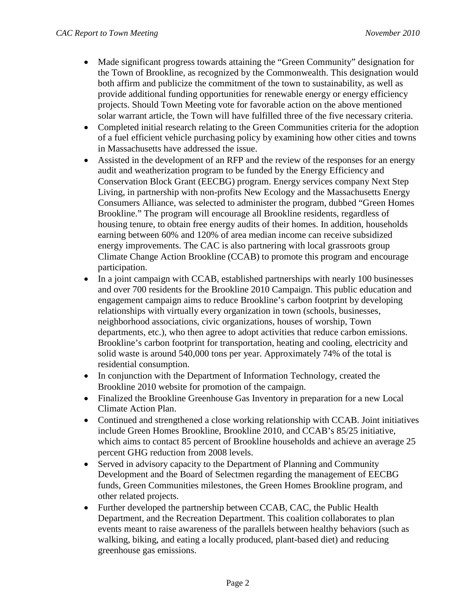- Made significant progress towards attaining the "Green Community" designation for the Town of Brookline, as recognized by the Commonwealth. This designation would both affirm and publicize the commitment of the town to sustainability, as well as provide additional funding opportunities for renewable energy or energy efficiency projects. Should Town Meeting vote for favorable action on the above mentioned solar warrant article, the Town will have fulfilled three of the five necessary criteria.
- Completed initial research relating to the Green Communities criteria for the adoption of a fuel efficient vehicle purchasing policy by examining how other cities and towns in Massachusetts have addressed the issue.
- Assisted in the development of an RFP and the review of the responses for an energy audit and weatherization program to be funded by the Energy Efficiency and Conservation Block Grant (EECBG) program. Energy services company Next Step Living, in partnership with non-profits New Ecology and the Massachusetts Energy Consumers Alliance, was selected to administer the program, dubbed "Green Homes Brookline." The program will encourage all Brookline residents, regardless of housing tenure, to obtain free energy audits of their homes. In addition, households earning between 60% and 120% of area median income can receive subsidized energy improvements. The CAC is also partnering with local grassroots group Climate Change Action Brookline (CCAB) to promote this program and encourage participation.
- In a joint campaign with CCAB, established partnerships with nearly 100 businesses and over 700 residents for the Brookline 2010 Campaign. This public education and engagement campaign aims to reduce Brookline's carbon footprint by developing relationships with virtually every organization in town (schools, businesses, neighborhood associations, civic organizations, houses of worship, Town departments, etc.), who then agree to adopt activities that reduce carbon emissions. Brookline's carbon footprint for transportation, heating and cooling, electricity and solid waste is around 540,000 tons per year. Approximately 74% of the total is residential consumption.
- In conjunction with the Department of Information Technology, created the Brookline 2010 website for promotion of the campaign.
- Finalized the Brookline Greenhouse Gas Inventory in preparation for a new Local Climate Action Plan.
- Continued and strengthened a close working relationship with CCAB. Joint initiatives include Green Homes Brookline, Brookline 2010, and CCAB's 85/25 initiative, which aims to contact 85 percent of Brookline households and achieve an average 25 percent GHG reduction from 2008 levels.
- Served in advisory capacity to the Department of Planning and Community Development and the Board of Selectmen regarding the management of EECBG funds, Green Communities milestones, the Green Homes Brookline program, and other related projects.
- Further developed the partnership between CCAB, CAC, the Public Health Department, and the Recreation Department. This coalition collaborates to plan events meant to raise awareness of the parallels between healthy behaviors (such as walking, biking, and eating a locally produced, plant-based diet) and reducing greenhouse gas emissions.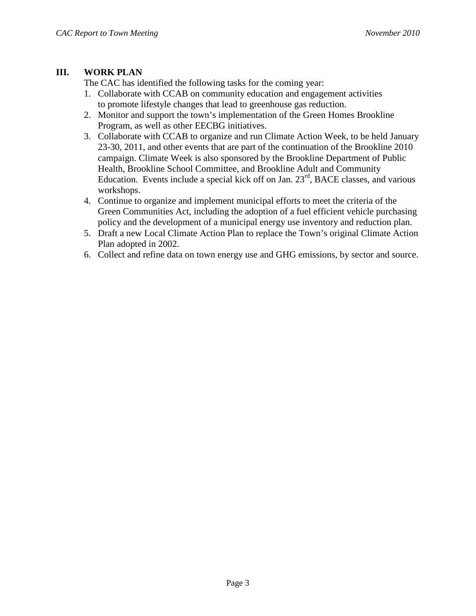### **III. WORK PLAN**

The CAC has identified the following tasks for the coming year:

- 1. Collaborate with CCAB on community education and engagement activities to promote lifestyle changes that lead to greenhouse gas reduction.
- 2. Monitor and support the town's implementation of the Green Homes Brookline Program, as well as other EECBG initiatives.
- 3. Collaborate with CCAB to organize and run Climate Action Week, to be held January 23-30, 2011, and other events that are part of the continuation of the Brookline 2010 campaign. Climate Week is also sponsored by the Brookline Department of Public Health, Brookline School Committee, and Brookline Adult and Community Education. Events include a special kick off on Jan. 23<sup>rd</sup>, BACE classes, and various workshops.
- 4. Continue to organize and implement municipal efforts to meet the criteria of the Green Communities Act, including the adoption of a fuel efficient vehicle purchasing policy and the development of a municipal energy use inventory and reduction plan.
- 5. Draft a new Local Climate Action Plan to replace the Town's original Climate Action Plan adopted in 2002.
- 6. Collect and refine data on town energy use and GHG emissions, by sector and source.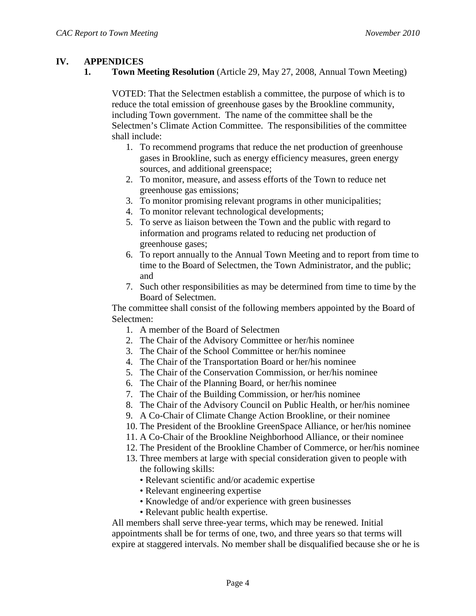### **IV. APPENDICES**

**1. Town Meeting Resolution** (Article 29, May 27, 2008, Annual Town Meeting)

VOTED: That the Selectmen establish a committee, the purpose of which is to reduce the total emission of greenhouse gases by the Brookline community, including Town government. The name of the committee shall be the Selectmen's Climate Action Committee. The responsibilities of the committee shall include:

- 1. To recommend programs that reduce the net production of greenhouse gases in Brookline, such as energy efficiency measures, green energy sources, and additional greenspace;
- 2. To monitor, measure, and assess efforts of the Town to reduce net greenhouse gas emissions;
- 3. To monitor promising relevant programs in other municipalities;
- 4. To monitor relevant technological developments;
- 5. To serve as liaison between the Town and the public with regard to information and programs related to reducing net production of greenhouse gases;
- 6. To report annually to the Annual Town Meeting and to report from time to time to the Board of Selectmen, the Town Administrator, and the public; and
- 7. Such other responsibilities as may be determined from time to time by the Board of Selectmen.

The committee shall consist of the following members appointed by the Board of Selectmen:

- 1. A member of the Board of Selectmen
- 2. The Chair of the Advisory Committee or her/his nominee
- 3. The Chair of the School Committee or her/his nominee
- 4. The Chair of the Transportation Board or her/his nominee
- 5. The Chair of the Conservation Commission, or her/his nominee
- 6. The Chair of the Planning Board, or her/his nominee
- 7. The Chair of the Building Commission, or her/his nominee
- 8. The Chair of the Advisory Council on Public Health, or her/his nominee
- 9. A Co-Chair of Climate Change Action Brookline, or their nominee
- 10. The President of the Brookline GreenSpace Alliance, or her/his nominee
- 11. A Co-Chair of the Brookline Neighborhood Alliance, or their nominee
- 12. The President of the Brookline Chamber of Commerce, or her/his nominee
- 13. Three members at large with special consideration given to people with the following skills:
	- Relevant scientific and/or academic expertise
	- Relevant engineering expertise
	- Knowledge of and/or experience with green businesses
	- Relevant public health expertise.

All members shall serve three-year terms, which may be renewed. Initial appointments shall be for terms of one, two, and three years so that terms will expire at staggered intervals. No member shall be disqualified because she or he is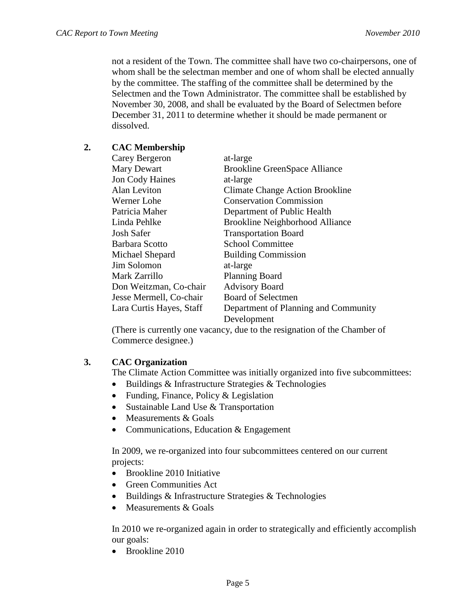not a resident of the Town. The committee shall have two co-chairpersons, one of whom shall be the selectman member and one of whom shall be elected annually by the committee. The staffing of the committee shall be determined by the Selectmen and the Town Administrator. The committee shall be established by November 30, 2008, and shall be evaluated by the Board of Selectmen before December 31, 2011 to determine whether it should be made permanent or dissolved.

# **2. CAC Membership**

| Carey Bergeron           | at-large                               |
|--------------------------|----------------------------------------|
| Mary Dewart              | <b>Brookline GreenSpace Alliance</b>   |
| <b>Jon Cody Haines</b>   | at-large                               |
| Alan Leviton             | <b>Climate Change Action Brookline</b> |
| Werner Lohe              | <b>Conservation Commission</b>         |
| Patricia Maher           | Department of Public Health            |
| Linda Pehlke             | <b>Brookline Neighborhood Alliance</b> |
| <b>Josh Safer</b>        | <b>Transportation Board</b>            |
| Barbara Scotto           | <b>School Committee</b>                |
| Michael Shepard          | <b>Building Commission</b>             |
| Jim Solomon              | at-large                               |
| Mark Zarrillo            | <b>Planning Board</b>                  |
| Don Weitzman, Co-chair   | <b>Advisory Board</b>                  |
| Jesse Mermell, Co-chair  | <b>Board of Selectmen</b>              |
| Lara Curtis Hayes, Staff | Department of Planning and Community   |
|                          | Development                            |

(There is currently one vacancy, due to the resignation of the Chamber of Commerce designee.)

## **3. CAC Organization**

The Climate Action Committee was initially organized into five subcommittees:

- Buildings & Infrastructure Strategies & Technologies
- Funding, Finance, Policy & Legislation
- Sustainable Land Use & Transportation
- Measurements & Goals
- Communications, Education & Engagement

In 2009, we re-organized into four subcommittees centered on our current projects:

- Brookline 2010 Initiative
- Green Communities Act
- Buildings & Infrastructure Strategies & Technologies
- Measurements & Goals

In 2010 we re-organized again in order to strategically and efficiently accomplish our goals:

• Brookline 2010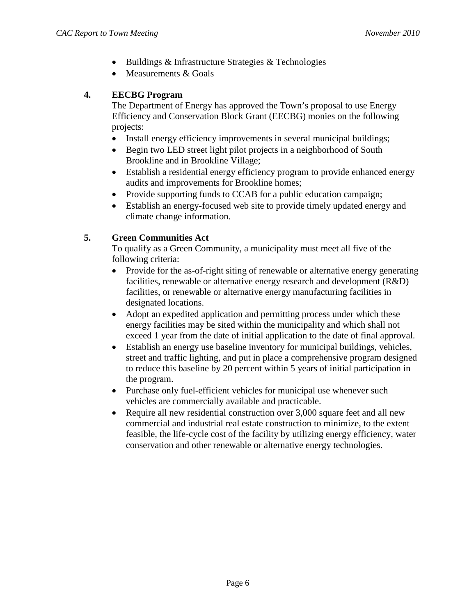- Buildings & Infrastructure Strategies & Technologies
- Measurements & Goals

# **4. EECBG Program**

The Department of Energy has approved the Town's proposal to use Energy Efficiency and Conservation Block Grant (EECBG) monies on the following projects:

- Install energy efficiency improvements in several municipal buildings;
- Begin two LED street light pilot projects in a neighborhood of South Brookline and in Brookline Village;
- Establish a residential energy efficiency program to provide enhanced energy audits and improvements for Brookline homes;
- Provide supporting funds to CCAB for a public education campaign;
- Establish an energy-focused web site to provide timely updated energy and climate change information.

# **5. Green Communities Act**

To qualify as a Green Community, a municipality must meet all five of the following criteria:

- Provide for the as-of-right siting of renewable or alternative energy generating facilities, renewable or alternative energy research and development (R&D) facilities, or renewable or alternative energy manufacturing facilities in designated locations.
- Adopt an expedited application and permitting process under which these energy facilities may be sited within the municipality and which shall not exceed 1 year from the date of initial application to the date of final approval.
- Establish an energy use baseline inventory for municipal buildings, vehicles, street and traffic lighting, and put in place a comprehensive program designed to reduce this baseline by 20 percent within 5 years of initial participation in the program.
- Purchase only fuel-efficient vehicles for municipal use whenever such vehicles are commercially available and practicable.
- Require all new residential construction over 3,000 square feet and all new commercial and industrial real estate construction to minimize, to the extent feasible, the life-cycle cost of the facility by utilizing energy efficiency, water conservation and other renewable or alternative energy technologies.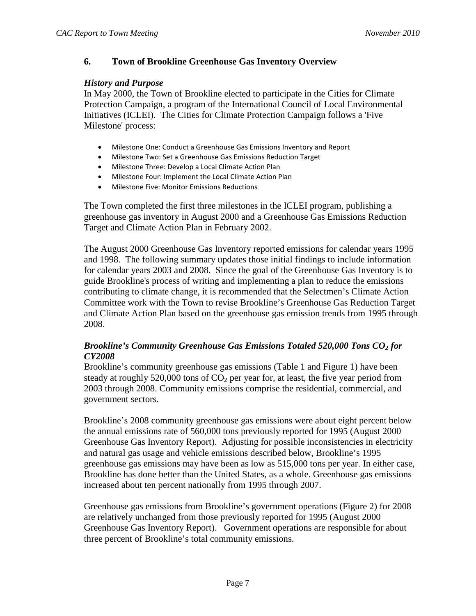### **6. Town of Brookline Greenhouse Gas Inventory Overview**

#### *History and Purpose*

In May 2000, the Town of Brookline elected to participate in the Cities for Climate Protection Campaign, a program of the International Council of Local Environmental Initiatives (ICLEI). The Cities for Climate Protection Campaign follows a 'Five Milestone' process:

- Milestone One: Conduct a Greenhouse Gas Emissions Inventory and Report
- Milestone Two: Set a Greenhouse Gas Emissions Reduction Target
- Milestone Three: Develop a Local Climate Action Plan
- Milestone Four: Implement the Local Climate Action Plan
- Milestone Five: Monitor Emissions Reductions

The Town completed the first three milestones in the ICLEI program, publishing a greenhouse gas inventory in August 2000 and a Greenhouse Gas Emissions Reduction Target and Climate Action Plan in February 2002.

The August 2000 Greenhouse Gas Inventory reported emissions for calendar years 1995 and 1998. The following summary updates those initial findings to include information for calendar years 2003 and 2008. Since the goal of the Greenhouse Gas Inventory is to guide Brookline's process of writing and implementing a plan to reduce the emissions contributing to climate change, it is recommended that the Selectmen's Climate Action Committee work with the Town to revise Brookline's Greenhouse Gas Reduction Target and Climate Action Plan based on the greenhouse gas emission trends from 1995 through 2008.

### *Brookline's Community Greenhouse Gas Emissions Totaled 520,000 Tons CO2 for CY2008*

Brookline's community greenhouse gas emissions (Table 1 and Figure 1) have been steady at roughly 520,000 tons of  $CO<sub>2</sub>$  per year for, at least, the five year period from 2003 through 2008. Community emissions comprise the residential, commercial, and government sectors.

Brookline's 2008 community greenhouse gas emissions were about eight percent below the annual emissions rate of 560,000 tons previously reported for 1995 (August 2000 Greenhouse Gas Inventory Report). Adjusting for possible inconsistencies in electricity and natural gas usage and vehicle emissions described below, Brookline's 1995 greenhouse gas emissions may have been as low as 515,000 tons per year. In either case, Brookline has done better than the United States, as a whole. Greenhouse gas emissions increased about ten percent nationally from 1995 through 2007.

Greenhouse gas emissions from Brookline's government operations (Figure 2) for 2008 are relatively unchanged from those previously reported for 1995 (August 2000 Greenhouse Gas Inventory Report). Government operations are responsible for about three percent of Brookline's total community emissions.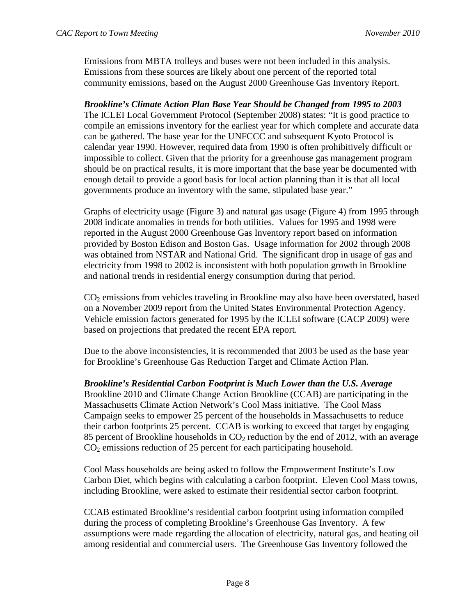Emissions from MBTA trolleys and buses were not been included in this analysis. Emissions from these sources are likely about one percent of the reported total community emissions, based on the August 2000 Greenhouse Gas Inventory Report.

*Brookline's Climate Action Plan Base Year Should be Changed from 1995 to 2003* The ICLEI Local Government Protocol (September 2008) states: "It is good practice to compile an emissions inventory for the earliest year for which complete and accurate data can be gathered. The base year for the UNFCCC and subsequent Kyoto Protocol is calendar year 1990. However, required data from 1990 is often prohibitively difficult or impossible to collect. Given that the priority for a greenhouse gas management program should be on practical results, it is more important that the base year be documented with enough detail to provide a good basis for local action planning than it is that all local governments produce an inventory with the same, stipulated base year."

Graphs of electricity usage (Figure 3) and natural gas usage (Figure 4) from 1995 through 2008 indicate anomalies in trends for both utilities. Values for 1995 and 1998 were reported in the August 2000 Greenhouse Gas Inventory report based on information provided by Boston Edison and Boston Gas. Usage information for 2002 through 2008 was obtained from NSTAR and National Grid. The significant drop in usage of gas and electricity from 1998 to 2002 is inconsistent with both population growth in Brookline and national trends in residential energy consumption during that period.

 $CO<sub>2</sub>$  emissions from vehicles traveling in Brookline may also have been overstated, based on a November 2009 report from the United States Environmental Protection Agency. Vehicle emission factors generated for 1995 by the ICLEI software (CACP 2009) were based on projections that predated the recent EPA report.

Due to the above inconsistencies, it is recommended that 2003 be used as the base year for Brookline's Greenhouse Gas Reduction Target and Climate Action Plan.

*Brookline's Residential Carbon Footprint is Much Lower than the U.S. Average* Brookline 2010 and Climate Change Action Brookline (CCAB) are participating in the Massachusetts Climate Action Network's Cool Mass initiative. The Cool Mass Campaign seeks to empower 25 percent of the households in Massachusetts to reduce their carbon footprints 25 percent. CCAB is working to exceed that target by engaging 85 percent of Brookline households in  $CO<sub>2</sub>$  reduction by the end of 2012, with an average  $CO<sub>2</sub>$  emissions reduction of 25 percent for each participating household.

Cool Mass households are being asked to follow the Empowerment Institute's Low Carbon Diet, which begins with calculating a carbon footprint. Eleven Cool Mass towns, including Brookline, were asked to estimate their residential sector carbon footprint.

CCAB estimated Brookline's residential carbon footprint using information compiled during the process of completing Brookline's Greenhouse Gas Inventory. A few assumptions were made regarding the allocation of electricity, natural gas, and heating oil among residential and commercial users. The Greenhouse Gas Inventory followed the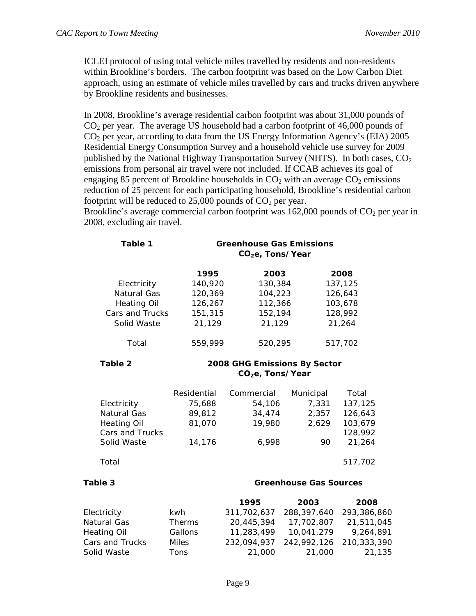ICLEI protocol of using total vehicle miles travelled by residents and non-residents within Brookline's borders. The carbon footprint was based on the Low Carbon Diet approach, using an estimate of vehicle miles travelled by cars and trucks driven anywhere by Brookline residents and businesses.

In 2008, Brookline's average residential carbon footprint was about 31,000 pounds of  $CO<sub>2</sub>$  per year. The average US household had a carbon footprint of 46,000 pounds of  $CO<sub>2</sub>$  per year, according to data from the US Energy Information Agency's (EIA) 2005 Residential Energy Consumption Survey and a household vehicle use survey for 2009 published by the National Highway Transportation Survey (NHTS). In both cases,  $CO<sub>2</sub>$ emissions from personal air travel were not included. If CCAB achieves its goal of engaging 85 percent of Brookline households in  $CO<sub>2</sub>$  with an average  $CO<sub>2</sub>$  emissions reduction of 25 percent for each participating household, Brookline's residential carbon footprint will be reduced to  $25,000$  pounds of  $CO<sub>2</sub>$  per year.

Brookline's average commercial carbon footprint was  $162,000$  pounds of  $CO<sub>2</sub>$  per year in 2008, excluding air travel.

| Table 1            | <b>Greenhouse Gas Emissions</b><br>CO <sub>2</sub> e, Tons/Year |                               |             |             |
|--------------------|-----------------------------------------------------------------|-------------------------------|-------------|-------------|
|                    | 1995                                                            | 2003                          |             | 2008        |
| Electricity        | 140,920                                                         | 130,384                       |             | 137,125     |
| <b>Natural Gas</b> | 120,369                                                         | 104,223                       |             | 126,643     |
| <b>Heating Oil</b> | 126,267                                                         | 112,366                       |             | 103,678     |
| Cars and Trucks    | 151,315                                                         | 152,194                       |             | 128,992     |
| Solid Waste        | 21,129                                                          | 21,129                        |             | 21,264      |
| Total              | 559,999                                                         | 520,295                       |             | 517,702     |
| Table 2            | 2008 GHG Emissions By Sector<br>CO <sub>2</sub> e, Tons/Year    |                               |             |             |
|                    |                                                                 |                               |             |             |
|                    | Residential                                                     | Commercial                    | Municipal   | Total       |
| Electricity        | 75,688                                                          | 54,106                        | 7,331       | 137,125     |
| Natural Gas        | 89,812                                                          | 34,474                        | 2,357       | 126,643     |
| <b>Heating Oil</b> | 81,070                                                          | 19,980                        | 2,629       | 103,679     |
| Cars and Trucks    |                                                                 |                               |             | 128,992     |
| Solid Waste        | 14,176                                                          | 6,998                         | 90          | 21,264      |
| Total              |                                                                 |                               |             | 517,702     |
| Table 3            |                                                                 | <b>Greenhouse Gas Sources</b> |             |             |
|                    |                                                                 | 1995                          | 2003        | 2008        |
| Electricity        | kwh                                                             | 311,702,637                   | 288,397,640 | 293,386,860 |
| Natural Gas        | <b>Therms</b>                                                   | 20,445,394                    | 17,702,807  | 21,511,045  |
| <b>Heating Oil</b> | Gallons                                                         | 11,283,499                    | 10,041,279  | 9,264,891   |
| Cars and Trucks    | <b>Miles</b>                                                    | 232,094,937                   | 242,992,126 | 210,333,390 |

Solid Waste Tons 21,000 21,000 21,135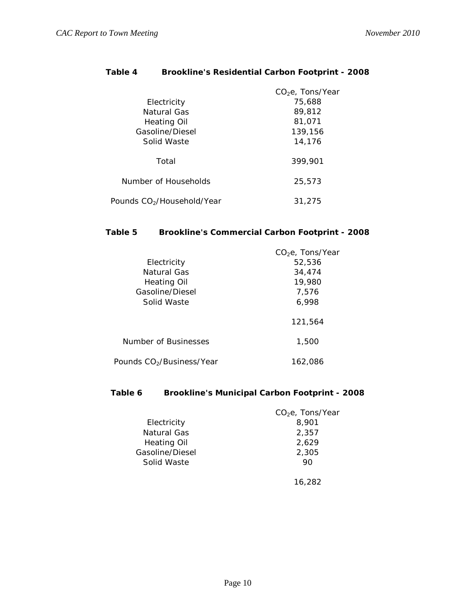| Table 4 | <b>Brookline's Residential Carbon Footprint - 2008</b> |  |
|---------|--------------------------------------------------------|--|
|         |                                                        |  |

|                                        | $CO2e$ , Tons/Year |
|----------------------------------------|--------------------|
| Electricity                            | 75,688             |
| Natural Gas                            | 89,812             |
| Heating Oil                            | 81,071             |
| Gasoline/Diesel                        | 139,156            |
| Solid Waste                            | 14,176             |
| Total                                  | 399,901            |
| Number of Households                   | 25,573             |
| Pounds CO <sub>2</sub> /Household/Year | 31,275             |

# **Table 5 Brookline's Commercial Carbon Footprint - 2008**

| Electricity                           | CO <sub>2</sub> e, Tons/Year<br>52,536 |
|---------------------------------------|----------------------------------------|
| Natural Gas<br>Heating Oil            | 34,474<br>19,980                       |
| Gasoline/Diesel<br>Solid Waste        | 7,576<br>6,998                         |
|                                       | 121.564                                |
| Number of Businesses                  | 1,500                                  |
| Pounds CO <sub>2</sub> /Business/Year | 162,086                                |

#### **Table 6 Brookline's Municipal Carbon Footprint - 2008**

|                    | $CO2e$ , Tons/Year |
|--------------------|--------------------|
| Electricity        | 8,901              |
| Natural Gas        | 2,357              |
| <b>Heating Oil</b> | 2,629              |
| Gasoline/Diesel    | 2,305              |
| Solid Waste        | 90                 |
|                    |                    |

16,282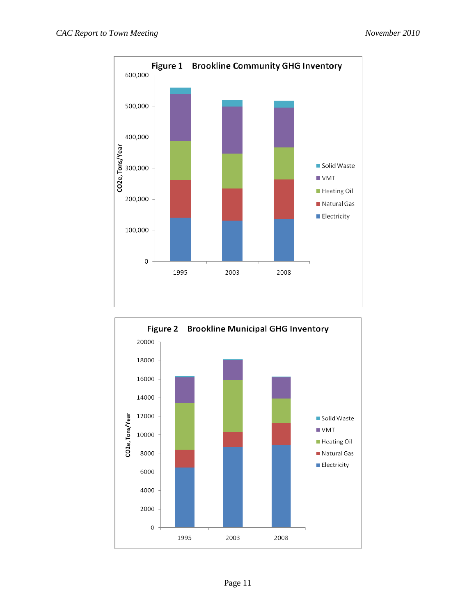